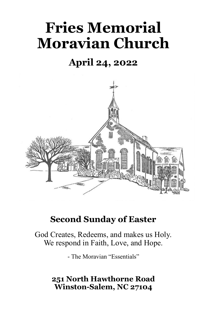# **Fries Memorial Moravian Church**

# **April 24, 2022**



## **Second Sunday of Easter**

God Creates, Redeems, and makes us Holy. We respond in Faith, Love, and Hope.

- The Moravian "Essentials"

## **251 North Hawthorne Road Winston-Salem, NC 27104**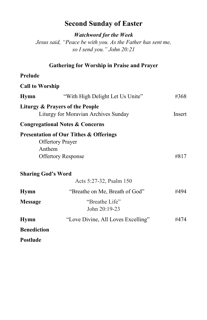### **Second Sunday of Easter**

*Watchword for the Week*

*Jesus said, "Peace be with you. As the Father has sent me, so I send you." John 20:21*

**Gathering for Worship in Praise and Prayer**

| <b>Call to Worship</b> |                                                                                        |        |
|------------------------|----------------------------------------------------------------------------------------|--------|
| <b>Hymn</b>            | "With High Delight Let Us Unite"                                                       | #368   |
|                        | Liturgy & Prayers of the People<br>Liturgy for Moravian Archives Sunday                | Insert |
|                        | <b>Congregational Notes &amp; Concerns</b>                                             |        |
|                        | <b>Presentation of Our Tithes &amp; Offerings</b><br><b>Offertory Prayer</b><br>Anthem |        |
|                        | <b>Offertory Response</b>                                                              | #817   |
|                        | <b>Sharing God's Word</b>                                                              |        |

|                    | Acts 5:27-32, Psalm 150            |      |
|--------------------|------------------------------------|------|
| <b>Hymn</b>        | "Breathe on Me, Breath of God"     | #494 |
| <b>Message</b>     | "Breathe Life"<br>John $20:19-23$  |      |
| <b>Hymn</b>        | "Love Divine, All Loves Excelling" | #474 |
| <b>Benediction</b> |                                    |      |
| Postlude           |                                    |      |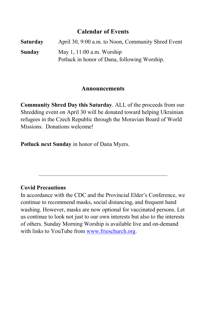#### **Calendar of Events**

**Saturday** April 30, 9:00 a.m. to Noon, Community Shred Event **Sunday** May 1, 11:00 a.m. Worship Potluck in honor of Dana, following Worship.

#### **Announcements**

**Community Shred Day this Saturday**. ALL of the proceeds from our Shredding event on April 30 will be donated toward helping Ukrainian refugees in the Czech Republic through the Moravian Board of World Missions. Donations welcome!

**Potluck next Sunday** in honor of Dana Myers.

#### **Covid Precautions**

In accordance with the CDC and the Provincial Elder's Conference, we continue to recommend masks, social distancing, and frequent hand washing. However, masks are now optional for vaccinated persons. Let us continue to look not just to our own interests but also to the interests of others. Sunday Morning Worship is available live and on-demand with links to YouTube from [www.frieschurch.org.](http://www.frieschurch.org)